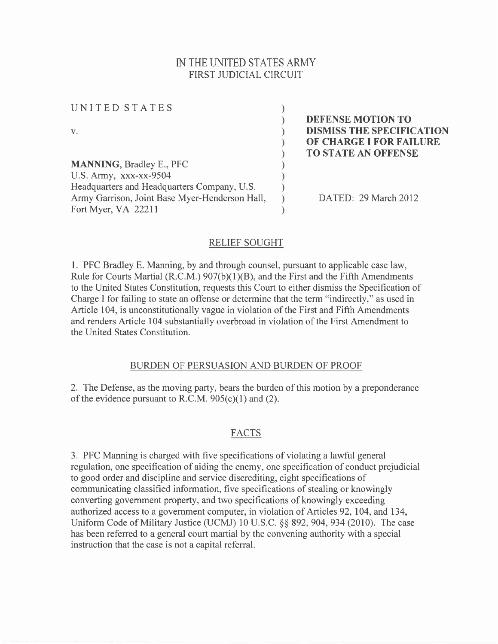# IN THE UNITED STATES ARMY FIRST JUDICIAL CIRCUIT

 $\mathcal{E}$  $\lambda$  $\lambda$ 

 $\lambda$ 

UNITED STATES

v.

MANNING, Bradley E., PFC U.S. Army, xxx-xx-9504 Headquarters and Headquarters Company, U.S. Army Garrison, Joint Base Myer-Henderson Hall, Fort Myer, VA 22211

DEFENSE MOTION TO DISMISS THE SPECIFICATION OF CHARGE I FOR FAILURE TO STATE AN OFFENSE

DATED: 29 March 2012

### RELIEF SOUGHT

l. PFC Bradley E. Manning, by and through counsel, pursuant to applicable case law, Rule for Courts Martial (R.C.M.)  $907(b)(1)(B)$ , and the First and the Fifth Amendments to the United States Constitution, requests this Court to either dismiss the Specification of Charge I for failing to state an offense or determine that the term "indirectly," as used in Article 104, is unconstitutionally vague in violation of the First and Fifth Amendments and renders Article 104 substantially overbroad in violation of the First Amendment to the United States Constitution.

## BURDEN OF PERSUASION AND BURDEN OF PROOF

2. The Defense, as the moving party, bears the burden of this motion by a preponderance of the evidence pursuant to R.C.M.  $905(c)(1)$  and (2).

## FACTS

3. PFC Manning is charged with five specifications of violating a lawful general regulation, one specification of aiding the enemy, one specification of conduct prejudicial to good order and discipline and service discrediting, eight specifications of communicating classified information, five specifications of stealing or knowingly converting government property, and two specifications of knowingly exceeding authorized access to a government computer, in violation of Articles 92,104, and 134, Uniform Code of Military Justice (UCMJ) 10 U.S.C. §§ 892, 904, 934 (2010). The case has been referred to a general court martial by the convening authority with a special instruction that the case is not a capital referral.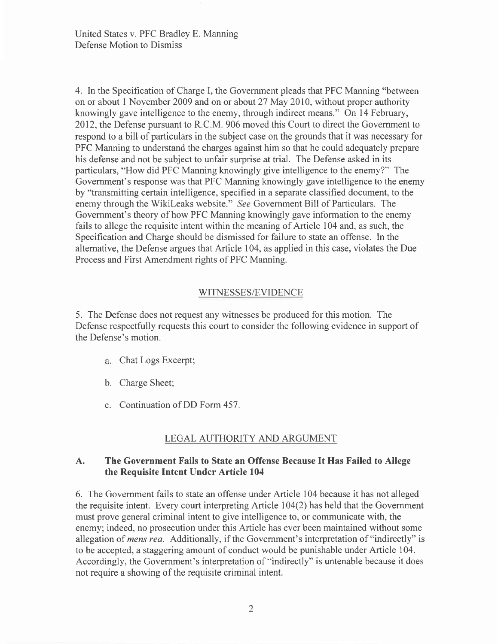4. In the Specification of Charge I, the Government pleads that PFC Manning "between on or about I November 2009 and on or about 27 May 2010, without proper authority knowingly gave intelligence to the enemy, through indirect means." On l4 February, 2012, the Defense pursuant to R.C.M. 906 moved this Court to direct the Government to respond to a bill of particulars in the subject case on the grounds that it was necessary for PFC Manning to understand the charges against him so that he could adequately prepare his defense and not be subject to unfair surprise at trial. The Defense asked in its particulars, "How did PFC Manning knowingly give intelligence to the enemy?" The Government's response was that PFC Manning knowingly gave intelligence to the enemy by "transmitting certain intelligence, specified in a separate classified document, to the enemy through the Wikileaks website." See Government Bill of Particulars. The Government's theory of how PFC Manning knowingly gave information to the enemy fails to allege the requisite intent within the meaning of Article 104 and, as such, the Specification and Charge should be dismissed for failure to state an offense. In the alternative, the Defense argues that Article 104, as applied in this case, violates the Due Process and First Amendment rights of PFC Manning.

### WITNESSES/EVIDENCE

5. The Defense does not request any witnesses be produced for this motion. The Defense respectfully requests this court to consider the following evidence in support of the Defense's motion.

- Chat Logs Excerpt;
- b. Charge Sheet;
- c. Continuation of DD Form 457.

## LEGAL AUTHORITY AND ARGUMENT

#### The Government Fails to State an Offense Because It Has Failed to Allege the Requisite Intent Under Article 104 A.

6. The Government fails to state an offense under Article 104 because it has not alleged the requisite intent. Every court interpreting Article 104(2) has held that the Government must prove general criminal intent to give intelligence to, or communicate with, the enemy; indeed, no prosecution under this Article has ever been maintained without some allegation of *mens rea.* Additionally, if the Government's interpretation of "indirectly" is to be accepted, a staggering amount of conduct would be punishable under Article 104. Accordingly, the Government's interpretation of "indirectly" is untenable because it does not require a showing of the requisite criminal intent.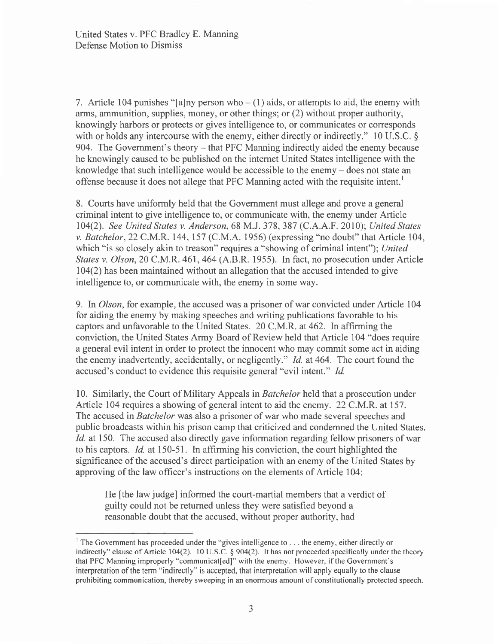7. Article 104 punishes "[a]ny person who  $- (1)$  aids, or attempts to aid, the enemy with arns, ammunition, supplies, money, or other things; or (2) without proper authority, knowingly harbors or protects or gives intelligence to, or communicates or corresponds with or holds any intercourse with the enemy, either directly or indirectly." 10 U.S.C.  $\delta$ 904. The Government's theory – that PFC Manning indirectly aided the enemy because he knowingly caused to be published on the internet United States intelligence with the knowledge that such intelligence would be accessible to the enemy - does not state an offense because it does not allege that PFC Manning acted with the requisite intent.<sup>1</sup>

8. Courts have uniformly held that the Government must allege and prove a general criminal intent to give intelligence to, or communicate with, the enemy under Article 104(2). See United States v. Anderson, 68 M.J. 378, 387 (C.A.A.F. 2010); United States v. Batchelor,22 C.M.R.144,157 (C.M.A. 1956) (expressing "no doubt" that Article 104, which "is so closely akin to treason" requires a "showing of criminal intent"); United States v. Olson,2O C.M.R. 461,464 (A.B.R. 1955). In fact, no prosecution under Article 104(2) has been maintained without an allegation that the accused intended to give intelligence to, or communicate with, the enemy in some way.

9. In Olson, for example, the accused was a prisoner of war convicted under Article 104 for aiding the enemy by making speeches and writing publications favorable to his captors and unfavorable to the United States. 20 C.M.R. at 462. In affirming the conviction, the United States Army Board of Review held that Article 104 "does require a general evil intent in order to protect the innocent who may commit some act in aiding the enemy inadvertently, accidentally, or negligently." Id. at 464. The court found the accused's conduct to evidence this requisite general "evil intent." Id

10. Similarly, the Court of Military Appeals in Batchelor held that a prosecution under Article 104 requires a showing of general intent to aid the enemy. 22 C.M.R. at I57 . The accused in *Batchelor* was also a prisoner of war who made several speeches and public broadcasts within his prison camp that criticized and condemned the United States. Id. at 150. The accused also directly gave information regarding fellow prisoners of war to his captors. Id. at 150-51. In affirming his conviction, the court highlighted the significance of the accused's direct participation with an enemy of the United States by approving of the law officer's instructions on the elements of Article 104:

He [the law judge] informed the court-martial members that a verdict of guilty could not be returned unless they were satisfied beyond a reasonable doubt that the accused, without proper authority, had

<sup>&</sup>lt;sup>1</sup> The Government has proceeded under the "gives intelligence to . . . the enemy, either directly or indirectly" clause of Article 104(2). 10 U.S.C. § 904(2). It has not proceeded specifically under the theory that PFC Manning improperly "communicat[ed]" with the enemy. However, if the Government's interpretation of the term "indirectly" is accepted, that interpretation will apply equally to the clause prohibiting communication, thereby sweeping in an enormous amount of constitutionally protected speech.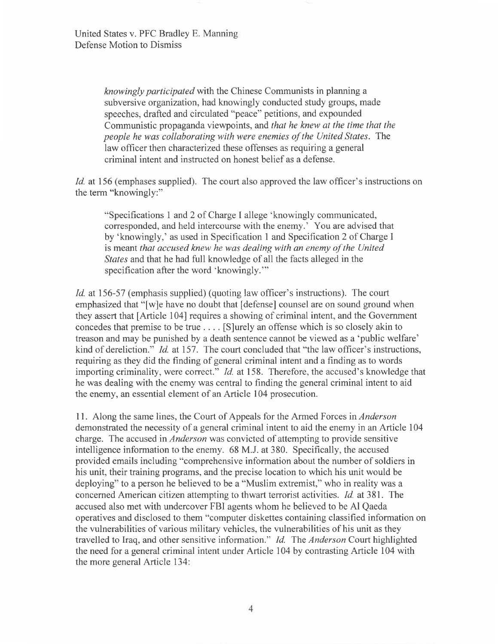knowingly participated with the Chinese Communists in planning a subversive organization, had knowingly conducted study groups, made speeches, drafted and circulated "peace" petitions, and expounded Communistic propaganda viewpoints, and that he knew at the time that the people he was collaborating with were enemies of the United States. The law officer then characterized these offenses as requiring a general criminal intent and instructed on honest belief as a defense.

Id. at 156 (emphases supplied). The court also approved the law officer's instructions on the term "knowingly:"

"Specifications 1 and 2 of Charge I allege'knowingly communicated, corresponded, and held intercourse with the enemy.' You are advised that by 'knowingly,' as used in Specification I and Specification2 of Charge I is meant that accused knew he was dealing with an enemy of the United States and that he had full knowledge of all the facts alleged in the specification after the word 'knowingly."'

Id. at 156-57 (emphasis supplied) (quoting law officer's instructions). The court emphasized that "[w]e have no doubt that [defense] counsel are on sound ground when they assert that [Article 104] requires a showing of criminal intent, and the Government concedes that premise to be true . . . . [S]urely an offense which is so closely akin to treason and may be punished by a death sentence cannot be viewed as a'public welfare' kind of dereliction." *Id.* at 157. The court concluded that "the law officer's instructions, requiring as they did the finding of general criminal intent and a finding as to words importing criminality, were correct." *Id.* at 158. Therefore, the accused's knowledge that he was dealing with the enemy was central to finding the general criminal intent to aid the enemy, an essential element of an Article 104 prosecution.

<sup>I</sup>l. Along the same lines, the Court of Appeals for the Armed Forces in Anderson demonstrated the necessity of a general criminal intent to aid the enemy in an Article 104 charge. The accused in *Anderson* was convicted of attempting to provide sensitive intelligence information to the enemy. 68 M.J. at 380. Specifically, the accused provided emails including "comprehensive information about the number of soldiers in his unit, their training programs, and the precise location to which his unit would be deploying" to a person he believed to be a "Muslim extremist," who in reality was a concerned American citizen attempting to thwart terrorist activities. Id. at 381. The accused also met with undercover FBI agents whom he believed to be Al Qaeda operatives and disclosed to them "computer diskettes containing classified information on the vulnerabilities of various military vehicles, the vulnerabilities of his unit as they travelled to Iraq, and other sensitive information." Id. The Anderson Court highlighted the need for a general criminal intent under Article 104 by contrasting Article 104 with the more general Article 134: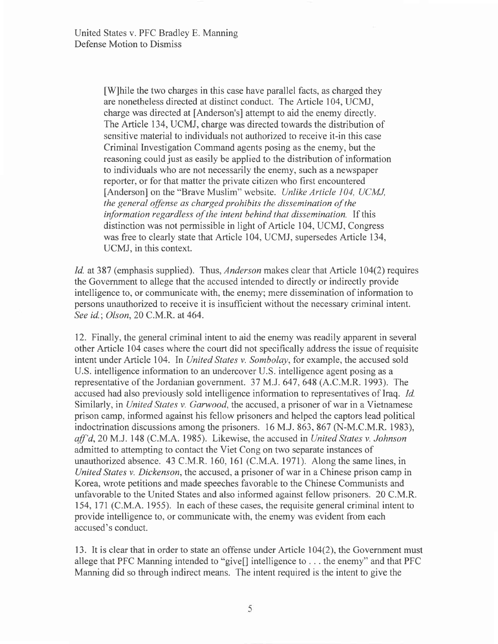[W]hile the two charges in this case have parallel facts, as charged they are nonetheless directed at distinct conduct. The Article 104, UCMJ, charge was directed at [Anderson's] attempt to aid the enemy directly. The Article 134, UCMJ, charge was directed towards the distribution of sensitive material to individuals not authorized to receive it-in this case Criminal Investigation Command agents posing as the enemy, but the reasoning could just as easily be applied to the distribution of information to individuals who are not necessarily the enemy, such as a newspaper reporter, or for that matter the private citizen who first encountered [Anderson] on the "Brave Muslim" website. Unlike Article 104, UCMJ, the general offense as charged prohibits the dissemination of the information regardless of the intent behind that dissemination. If this distinction was not permissible in light of Article 104, UCMJ, Congress was free to clearly state that Article 104, UCMJ, supersedes Article 134, UCMJ. in this context.

Id. at 387 (emphasis supplied). Thus, *Anderson* makes clear that Article 104(2) requires the Government to allege that the accused intended to directly or indirectly provide intelligence to, or communicate with, the enemy; mere dissemination of information to persons unauthorized to receive it is insufficient without the necessary criminal intent. See id.; Olson, 20 C.M.R. at 464.

12. Finally, the general criminal intent to aid the enemy was readily apparent in several other Article 104 cases where the court did not specifically address the issue of requisite intent under Article 104. In United States v. Sombolay, for example, the accused sold U.S. intelligence information to an undercover U.S. intelligence agent posing as a representative of the Jordanian government. 37 M.J. 647, 648 (A.C.M.R. 1993). The accused had also previously sold intelligence information to representatives of Iraq. Id. Similarly, in United States v. Garwood, the accused, a prisoner of war in a Vietnamese prison camp, informed against his fellow prisoners and helped the captors lead political indoctrination discussions among the prisoners. l6 M.J. 863, 867 (N-M.C.M.R. 1983),  $aff'd$ , 20 M.J. 148 (C.M.A. 1985). Likewise, the accused in United States v. Johnson admitted to attempting to contact the Viet Cong on two separate instances of unauthorized absence. 43 C.M.R. 160, l6l (C.M.A. l97l). Along the same lines, in United States v. Dickenson, the accused, a prisoner of war in a Chinese prison camp in Korea, wrote petitions and made speeches favorable to the Chinese Communists and unfavorable to the United States and also informed against fellow prisoners. 20 C.M.R. 154,177 (C.M.A. 1955). In each of these cases, the requisite general criminal intent to provide intelligence to, or communicate with, the enemy was evident from each accused's conduct.

13. It is clear that in order to state an offense under Article 104(2), the Government must allege that PFC Manning intended to "give[] intelligence to . . . the enemy" and that PFC Manning did so through indirect means. The intent required is the intent to give the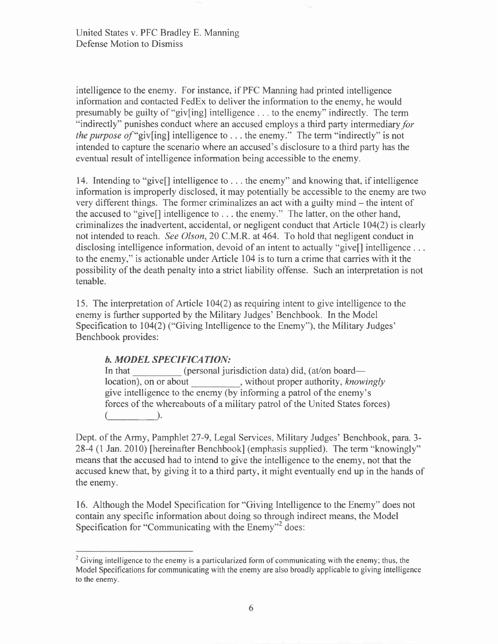intelligence to the enemy. For instance, if PFC Manning had printed intelligence information and contacted FedEx to deliver the information to the enemy, he would presumably be guilty of "giv[ing] intelligence . . . to the enemy" indirectly. The term "indirectly" punishes conduct where an accused employs a third party intermediary for *the purpose of* "giv[ing] intelligence to  $\ldots$  the enemy." The term "indirectly" is not intended to capture the scenario where an accused's disclosure to a third party has the eventual result of intelligence information being accessible to the enemy.

14. Intending to "give[] intelligence to . . . the enemy" and knowing that, if intelligence information is improperly disclosed, it may potentially be accessible to the enemy are two very different things. The former criminalizes an act with a guilty mind - the intent of the accused to "give[] intelligence to . . . the enemy." The latter, on the other hand, criminalizes the inadvertent, accidental, or negligent conduct that Article 104(2) is clearly not intended to reach. See Olson,20 C.M.R. at 464. To hold that negligent conduct in disclosing intelligence information, devoid of an intent to actually "give<sup>[]</sup> intelligence ... to the enemy," is actionable under Article 104 is to turn a crime that carries with it the possibility of the death penalty into a strict liability offense. Such an interpretation is not tenable.

15. The interpretation of Article 104(2) as requiring intent to give intelligence to the enemy is further supported by the Military Judges' Benchbook. In the Model Specification to 104(2) ("Giving Intelligence to the Enemy"), the Military Judges' Benchbook provides:

## b. MODEL SPECIFICATION:

In that (personal jurisdiction data) did, (at/on board location), on or about , without proper authority, knowingly give intelligence to the enemy (by informing a patrol of the enemy's forces of the whereabouts of a military patrol of the United States forces)  $($  ).

Dept. of the Army, Pamphlet 27-9, Legal Services, Military Judges' Benchbook, para. 3-28-4 (l Jan. 2010) [hereinafter Benchbook] (emphasis supplied). The term "knowingly" means that the accused had to intend to give the intelligence to the enemy, not that the accused knew that, by giving it to a third party, it might eventually end up in the hands of the enemy.

16. Although the Model Specification for "Giving Intelligence to the Enemy" does not contain any specific information about doing so through indirect means, the Model Specification for "Communicating with the Enemy"<sup>2</sup> does:

<sup>&</sup>lt;sup>2</sup> Giving intelligence to the enemy is a particularized form of communicating with the enemy; thus, the Model Specifications for communicating with the enemy are also broadly applicable to giving intelligence to the enemy.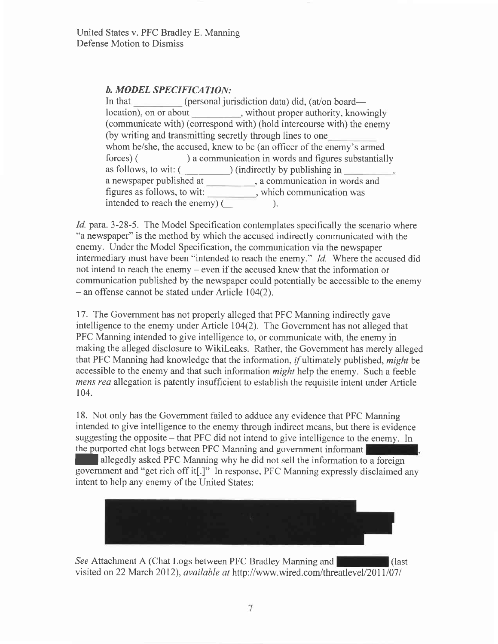# b. MODEL SPECIFICATION:

a newspaper published at , a communication in words and figures as follows, to wit: which communication was In that (personal jurisdiction data) did, (at/on board location), on or about , without proper authority, knowingly (communicate with) (correspond with) (hold intercourse with) the enemy (by writing and transmitting secretly through lines to one whom he/she, the accused, knew to be (an officer of the enemy's armed forces) (\_\_\_\_\_\_\_-) a communication in words and figures substantially as follows, to wit:  $(\_\_\_\_\_)$  (indirectly by publishing in intended to reach the enemy) (  $\qquad \qquad$  ).

Id. para. 3-28-5. The Model Specification contemplates specifically the scenario where "a newspaper" is the method by which the accused indirectly communicated with the enemy. Under the Model Specification, the communication via the newspaper intermediary must have been "intended to reach the enemy." Id. Where the accused did not intend to reach the enemy – even if the accused knew that the information or communication published by the newspaper could potentially be accessible to the enemy  $-$  an offense cannot be stated under Article 104(2).

17. The Govemment has not properly alleged that PFC Manning indirectly gave intelligence to the enemy under Article 104(2). The Government has not alleged that PFC Manning intended to give intelligence to, or communicate with, the enemy in making the alleged disclosure to Wikileaks. Rather, the Government has merely alleged that PFC Manning had knowledge that the information,  $if$  ultimately published, *might* be accessible to the enemy and that such information might help the enemy. Such a feeble mens rea allegation is patently insufficient to establish the requisite intent under Article 104.

18. Not only has the Government failed to adduce any evidence that PFC Manning intended to give intelligence to the enemy through indirect means, but there is evidence suggesting the opposite  $-$  that PFC did not intend to give intelligence to the enemy. In the purported chat logs between PFC Manning and government informant

I allegedly asked PFC Manning why he did not sell the information to a foreign government and "get rich off it[.]" In response, PFC Manning expressly disclaimed any intent to help any enemy of the United States:



See Attachment A (Chat Logs between PFC Bradley Manning and **Chattachment** (last visited on 22 March 2012), *available at http://www.wired.com/threatlevel/2011/07/*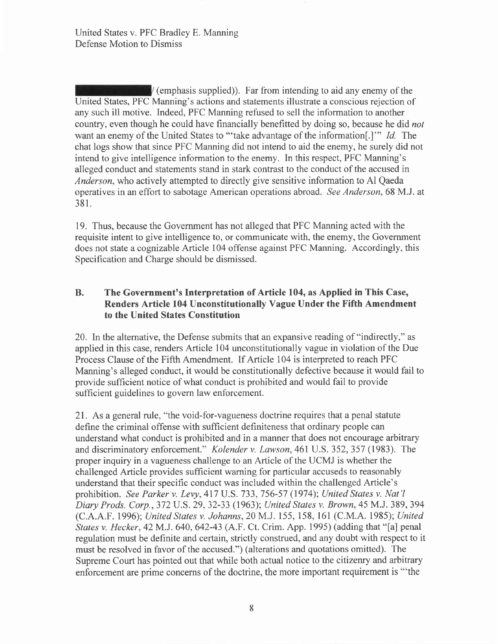$\sqrt{\frac{1}{2}}$  (emphasis supplied)). Far from intending to aid any enemy of the United States, PFC Manning's actions and statements illustrate a conscious rejection of any such ill motive. Indeed, PFC Manning refused to sell the information to another country, even though he could have financially benefitted by doing so, because he did *not* want an enemy of the United States to "'take advantage of the information..." Id. The chat logs show that since PFC Manning did not intend to aid the enemy, he surely did not intend to give intelligence information to the enemy. In this respect, PFC Manning's alleged conduct and statements stand in stark contrast to the conduct of the accused in Anderson, who actively attempted to directly give sensitive information to Al Qaeda operatives in an effort to sabotage American operations abroad. See Anderson, 68 M.J. at 381.

19. Thus, because the Government has not alleged that PFC Manning acted with the requisite intent to give intelligence to, or communicate with, the enemy, the Government does not state a cognizable Article 104 offense against PFC Manning. Accordingly, this Specification and Charge should be dismissed.

# B. The Government's Interpretation of Article 104, as Applied in This Case, Renders Article 104 Unconstitutionally Vague Under the Fifth Amendment to the United States Constitution

20. Inthe altemative, the Defense submits that an expansive reading of "indirectly," as applied in this case, renders Article 104 unconstitutionally vague in violation of the Due Process Clause of the Fifth Amendment. If Article 104 is interpreted to reach PFC Manning's alleged conduct, it would be constitutionally defective because it would fail to provide sufficient notice of what conduct is prohibited and would fail to provide sufficient guidelines to govern law enforcement.

21. As a general rule, "the void-for-vagueness doctrine requires that a penal statute define the criminal offense with sufficient definiteness that ordinary people can understand what conduct is prohibited and in a manner that does not encourage arbitrary and discriminatory enforcement." Kolender v. Lawson,46l U.S. 352,357 (1983). The proper inquiry in a vagueness challenge to an Article of the UCMJ is whether the challenged Article provides sufficient warning for particular accuseds to reasonably understand that their specific conduct was included within the challenged Article's prohibition. See Parker v. Levy,417 U.S. 733,756-57 (1974); United States v. Nat'l Diary Prods. Corp.,372U.5.29,32-33 (1963); United States v. Brown,45 M.J. 389,394 (C.A.A.F. 1996); United States v. Johanns,20 M.J. 155, 158, l6l (C.M.A. 1985); United States v. Hecker,42M.J. 640,642-43 (A.F. Ct. Crim. App. 1995) (adding that "[a] penal regulation must be definite and certain, strictly construed, and any doubt with respect to it must be resolved in favor of the accused.") (alterations and quotations omitted). The Supreme Court has pointed out that while both actual notice to the citizenry and arbitrary enforcement are prime concerns of the doctrine, the more important requirement is "'the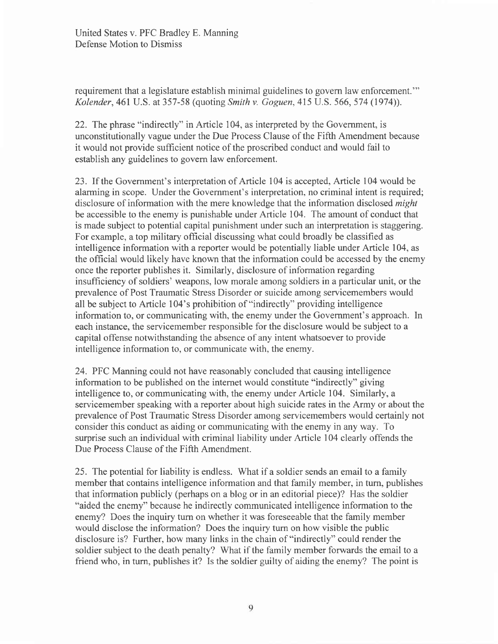requirement that a legislature establish minimal guidelines to govern law enforcement."' Kolender, 461 U.S. at 357-58 (quoting Smith v. Goguen, 415 U.S. 566, 574 (1974)).

22. The phrase "indirectly" in Article 104, as interpreted by the Government, is unconstitutionally vague under the Due Process Clause of the Fifth Amendment because it would not provide sufficient notice of the proscribed conduct and would fail to establish any guidelines to govern law enforcement.

23. If the Government's interpretation of Article 104 is accepted, Article 104 would be alarming in scope. Under the Government's interpretation, no criminal intent is required; disclosure of information with the mere knowledge that the information disclosed might be accessible to the enemy is punishable under Article 104. The amount of conduct that is made subject to potential capital punishment under such an interpretation is staggering. For example, a top military official discussing what could broadly be classified as intelligence information with a reporter would be potentially liable under Article 104, as the official would likely have known that the information could be accessed by the enemy once the reporter publishes it. Similarly, disclosure of information regarding insufficiency of soldiers' weapons, low morale among soldiers in a particular unit, or the prevalence of Post Traumatic Stress Disorder or suicide among servicemembers would all be subject to Article 104's prohibition of "indirectly" providing intelligence information to, or communicating with, the enemy under the Government's approach. In each instance, the servicemember responsible for the disclosure would be subject to a capital offense notwithstanding the absence of any intent whatsoever to provide intelligence information to, or communicate with, the enemy.

24. PFC Manning could not have reasonably concluded that causing intelligence information to be published on the internet would constitute "indirectly" giving intelligence to, or communicating with, the enemy under Article 104. Similarly, a servicemember speaking with a reporter about high suicide rates in the Army or about the prevalence of Post Traumatic Stress Disorder among servicemembers would certainly not consider this conduct as aiding or communicating with the enemy in any way. To surprise such an individual with criminal liability under Article 104 clearly offends the Due Process Clause of the Fifth Amendment.

25. The potential for liability is endless. What if a soldier sends an email to a family member that contains intelligence information and that family member, in turn, publishes that information publicly (perhaps on a blog or in an editorial piece)? Has the soldier "aided the enemy" because he indirectly communicated intelligence information to the enemy? Does the inquiry turn on whether it was foreseeable that the family member would disclose the information? Does the inquiry tum on how visible the public disclosure is? Further, how many links in the chain of "indirectly" could render the soldier subject to the death penalty? What if the family member forwards the email to a friend who, in turn, publishes it? Is the soldier guilty of aiding the enemy? The point is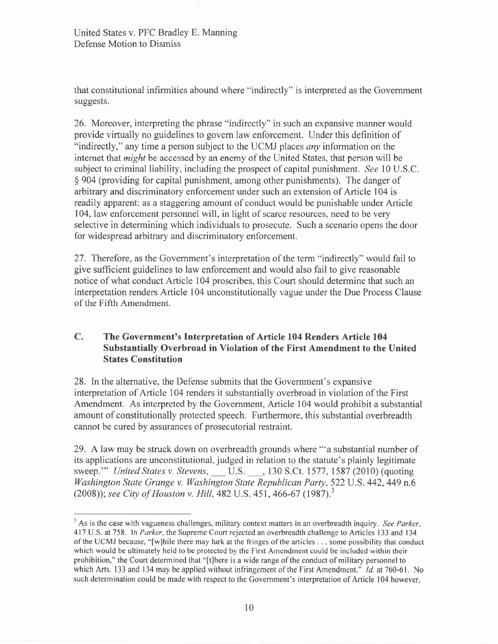that constitutional infirmities abound where "indirectly" is interpreted as the Government suggests.

26. Moreover, interpreting the phrase "indirectly" in such an expansive manner would provide virtually no guidelines to govem law enforcement. Under this definition of "indirectly," any time a person subject to the UCMJ places *any* information on the internet that *might* be accessed by an enemy of the United States, that person will be subject to criminal liability, including the prospect of capital punishment. See 10 U.S.C. \$ 904 (providing for capital punishment, among other punishments). The danger of arbitrary and discriminatory enforcement under such an extension of Article 104 is readily apparent: as a staggering amount of conduct would be punishable under Article 104, law enforcement personnel will, in light of scarce resources, need to be very selective in determining which individuals to prosecute. Such a scenario opens the door for widespread arbitrary and discriminatory enforcement.

27. Therefore, as the Government's interpretation of the term "indirectly" would fail to give sufficient guidelines to law enforcement and would also fail to give reasonable notice of what conduct Article 104 proscribes, this Court should determine that such an interpretation renders Article 104 unconstitutionally vague under the Due Process Clause of the Fifth Amendment.

### The Government's Interpretation of Article 104 Renders Article 104 Substantially Overbroad in Violation of the First Amendment to the United States Constitution C.

28. In the alternative, the Defense submits that the Government's expansive interpretation of Article 104 renders it substantially overbroad in violation of the First Amendment. As interpreted by the Government, Article 104 would prohibit a substantial amount of constitutionally protected speech. Furthermore, this substantial overbreadth cannot be cured by assurances of prosecutorial restraint.

29. A law may be struck down on overbreadth grounds where "'a substantial number of its applications are unconstitutional, judged in relation to the statute's plainly legitimate sweep."" United States v. Stevens, \_\_\_ U.S. \_\_\_, 130 S.Ct. 1577, 1587 (2010) (quoting Washington State Grange v. Washington State Republican Party, 522 U.S. 442, 449 n.6 (2008)); see City of Houston v. Hill, 482 U.S. 451, 466-67 (1987).<sup>3</sup>

 $3$  As is the case with vagueness challenges, military context matters in an overbreadth inquiry. See Parker, 417 U.S. at 758. In Parker, the Supreme Court rejected an overbreadth challenge to Articles 133 and 134 of the UCMJ because, "[w]hile there may lurk at the fringes of the articles . . . some possibility that conduct which would be ultimately held to be protected by the First Amendment could be included within their prohibition," the Court determined that "[t]here is a wide range of the conduct of military personnel to which Arts. 133 and 134 may be applied without infringement of the First Amendment." *Id.* at 760-61. No such determination could be made with respect to the Government's interpretation of Article 104 however,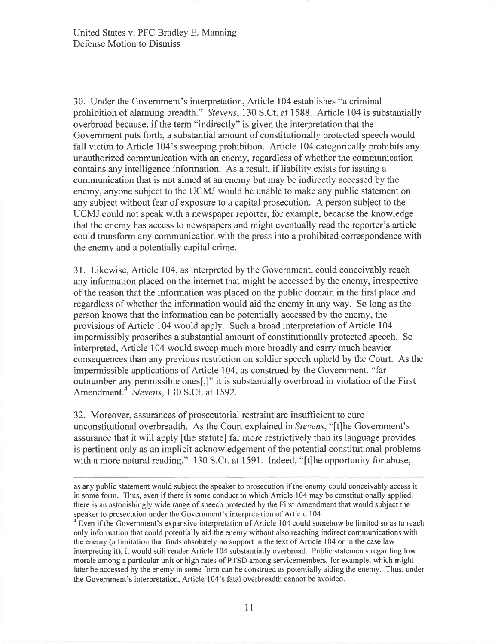30. Under the Government's interpretation, Article 104 establishes "a criminal prohibition of alarming breadth." Stevens, 130 S.Ct. at 1588. Article 104 is substantially overbroad because, if the term "indirectly" is given the interpretation that the Government puts forth, a substantial amount of constitutionally protected speech would fall victim to Article 104's sweeping prohibition. Article 104 categorically prohibits any unauthorized communication with an enemy, regardless of whether the communication contains any intelligence information. As a result, if liability exists for issuing a communication that is not aimed at an enemy but may be indirectly accessed by the enemy, anyone subject to the UCMJ would be unable to make any public statement on any subject without fear of exposure to a capital prosecution. A person subject to the UCMJ could not speak with a newspaper reporter, for example, because the knowledge that the enemy has access to newspapers and might eventually read the reporter's article could transform any communication with the press into a prohibited correspondence with the enemy and a potentially capital crime.

31. Likewise, Article 104, as interpreted by the Government, could conceivably reach any information placed on the internet that might be accessed by the enemy, irrespective of the reason that the information was placed on the public domain in the first place and regardless of whether the information would aid the enemy in any way. So long as the person knows that the information can be potentially accessed by the enemy, the provisions of Article 104 would apply. Such a broad interpretation of Article 104 impermissibly proscribes a substantial amount of constitutionally protected speech. So interpreted, Article 104 would sweep much more broadly and carry much heavier consequences than any previous restriction on soldier speech upheld by the Court. As the impermissible applications of Article 104, as construed by the Government, "far outnumber any permissible ones[,]" it is substantially overbroad in violation of the First Amendment.<sup>4</sup> Stevens, 130 S.Ct. at 1592.

32. Moreover, assurances of prosecutorial restraint are insufftcient to cure unconstitutional overbreadth. As the Court explained in Stevens, "[t]he Government's assurance that it will apply [the statute] far more restrictively than its language provides is pertinent only as an implicit acknowledgement of the potential constitutional problems with a more natural reading." 130 S.Ct. at 1591. Indeed, "[t]he opportunity for abuse,

as any public statement would subject the speaker to prosecution if the enemy could conceivably access it in some form. Thus, even if there is some conduct to which Article 104 may be constitutionally applied, there is an astonishingly wide range of speech protected by the First Amendment that would subject the speaker to prosecution under the Government's interpretation of Article 104.

Even if the Government's expansive interpretation of Article 104 could somehow be limited so as to reach only information that could potentially aid the enemy without also reaching indirect communications with the enemy (a limitation that finds absolutely no support in the text of Article 104 or in the case law interpreting it), it would still render Article 104 substantially overbroad. Public statements regarding low morale among a particular unit or high rates of PTSD among servicemembers, for example, which might later be accessed by the enemy in some form can be construed as potentially aiding the enemy. Thus, under the Government's interpretation, Article 104's fatal overbreadth cannot be avoided.